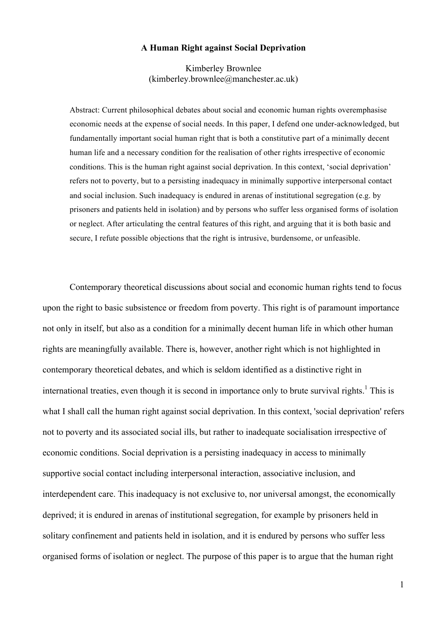#### **A Human Right against Social Deprivation**

Kimberley Brownlee (kimberley.brownlee@manchester.ac.uk)

Abstract: Current philosophical debates about social and economic human rights overemphasise economic needs at the expense of social needs. In this paper, I defend one under-acknowledged, but fundamentally important social human right that is both a constitutive part of a minimally decent human life and a necessary condition for the realisation of other rights irrespective of economic conditions. This is the human right against social deprivation. In this context, 'social deprivation' refers not to poverty, but to a persisting inadequacy in minimally supportive interpersonal contact and social inclusion. Such inadequacy is endured in arenas of institutional segregation (e.g. by prisoners and patients held in isolation) and by persons who suffer less organised forms of isolation or neglect. After articulating the central features of this right, and arguing that it is both basic and secure, I refute possible objections that the right is intrusive, burdensome, or unfeasible.

Contemporary theoretical discussions about social and economic human rights tend to focus upon the right to basic subsistence or freedom from poverty. This right is of paramount importance not only in itself, but also as a condition for a minimally decent human life in which other human rights are meaningfully available. There is, however, another right which is not highlighted in contemporary theoretical debates, and which is seldom identified as a distinctive right in international treaties, even though it is second in importance only to brute survival rights.<sup>1</sup> This is what I shall call the human right against social deprivation. In this context, 'social deprivation' refers not to poverty and its associated social ills, but rather to inadequate socialisation irrespective of economic conditions. Social deprivation is a persisting inadequacy in access to minimally supportive social contact including interpersonal interaction, associative inclusion, and interdependent care. This inadequacy is not exclusive to, nor universal amongst, the economically deprived; it is endured in arenas of institutional segregation, for example by prisoners held in solitary confinement and patients held in isolation, and it is endured by persons who suffer less organised forms of isolation or neglect. The purpose of this paper is to argue that the human right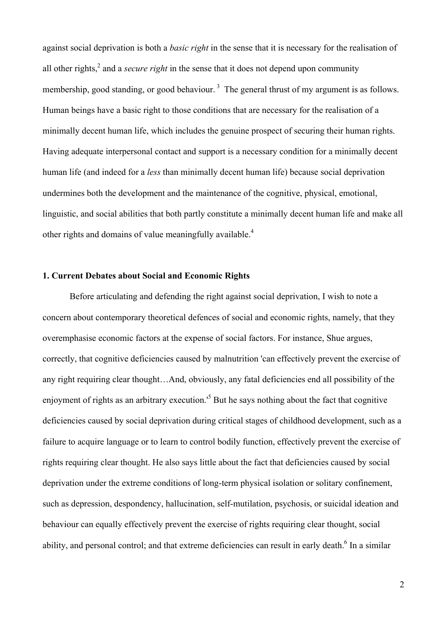against social deprivation is both a *basic right* in the sense that it is necessary for the realisation of all other rights,<sup>2</sup> and a *secure right* in the sense that it does not depend upon community membership, good standing, or good behaviour.<sup>3</sup> The general thrust of my argument is as follows. Human beings have a basic right to those conditions that are necessary for the realisation of a minimally decent human life, which includes the genuine prospect of securing their human rights. Having adequate interpersonal contact and support is a necessary condition for a minimally decent human life (and indeed for a *less* than minimally decent human life) because social deprivation undermines both the development and the maintenance of the cognitive, physical, emotional, linguistic, and social abilities that both partly constitute a minimally decent human life and make all other rights and domains of value meaningfully available.<sup>4</sup>

# **1. Current Debates about Social and Economic Rights**

Before articulating and defending the right against social deprivation, I wish to note a concern about contemporary theoretical defences of social and economic rights, namely, that they overemphasise economic factors at the expense of social factors. For instance, Shue argues, correctly, that cognitive deficiencies caused by malnutrition 'can effectively prevent the exercise of any right requiring clear thought…And, obviously, any fatal deficiencies end all possibility of the enjoyment of rights as an arbitrary execution.<sup>5</sup> But he says nothing about the fact that cognitive deficiencies caused by social deprivation during critical stages of childhood development, such as a failure to acquire language or to learn to control bodily function, effectively prevent the exercise of rights requiring clear thought. He also says little about the fact that deficiencies caused by social deprivation under the extreme conditions of long-term physical isolation or solitary confinement, such as depression, despondency, hallucination, self-mutilation, psychosis, or suicidal ideation and behaviour can equally effectively prevent the exercise of rights requiring clear thought, social ability, and personal control; and that extreme deficiencies can result in early death.<sup>6</sup> In a similar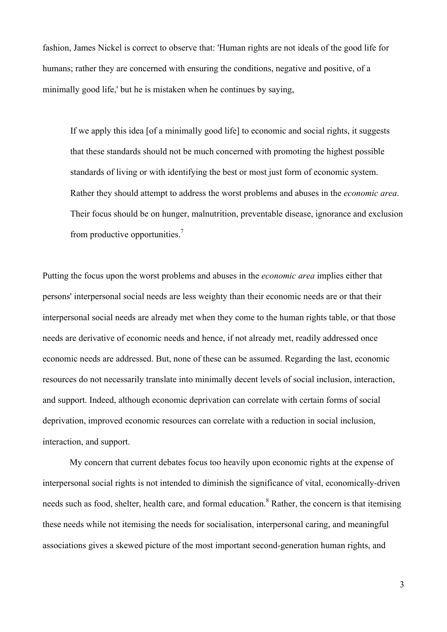fashion, James Nickel is correct to observe that: 'Human rights are not ideals of the good life for humans; rather they are concerned with ensuring the conditions, negative and positive, of a minimally good life,' but he is mistaken when he continues by saying,

If we apply this idea [of a minimally good life] to economic and social rights, it suggests that these standards should not be much concerned with promoting the highest possible standards of living or with identifying the best or most just form of economic system. Rather they should attempt to address the worst problems and abuses in the *economic area*. Their focus should be on hunger, malnutrition, preventable disease, ignorance and exclusion from productive opportunities.<sup>7</sup>

Putting the focus upon the worst problems and abuses in the *economic area* implies either that persons' interpersonal social needs are less weighty than their economic needs are or that their interpersonal social needs are already met when they come to the human rights table, or that those needs are derivative of economic needs and hence, if not already met, readily addressed once economic needs are addressed. But, none of these can be assumed. Regarding the last, economic resources do not necessarily translate into minimally decent levels of social inclusion, interaction, and support. Indeed, although economic deprivation can correlate with certain forms of social deprivation, improved economic resources can correlate with a reduction in social inclusion, interaction, and support.

My concern that current debates focus too heavily upon economic rights at the expense of interpersonal social rights is not intended to diminish the significance of vital, economically-driven needs such as food, shelter, health care, and formal education.<sup>8</sup> Rather, the concern is that itemising these needs while not itemising the needs for socialisation, interpersonal caring, and meaningful associations gives a skewed picture of the most important second-generation human rights, and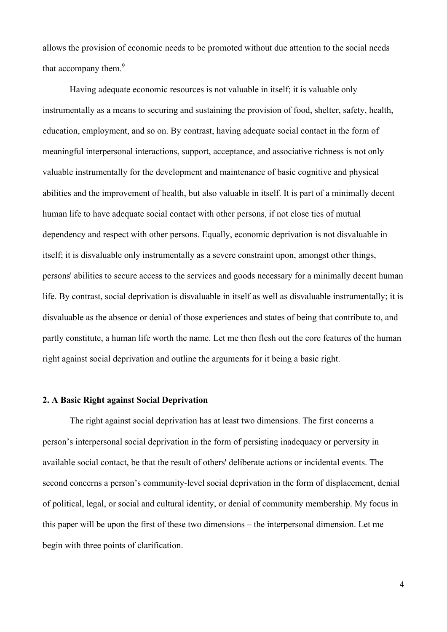allows the provision of economic needs to be promoted without due attention to the social needs that accompany them.<sup>9</sup>

Having adequate economic resources is not valuable in itself; it is valuable only instrumentally as a means to securing and sustaining the provision of food, shelter, safety, health, education, employment, and so on. By contrast, having adequate social contact in the form of meaningful interpersonal interactions, support, acceptance, and associative richness is not only valuable instrumentally for the development and maintenance of basic cognitive and physical abilities and the improvement of health, but also valuable in itself. It is part of a minimally decent human life to have adequate social contact with other persons, if not close ties of mutual dependency and respect with other persons. Equally, economic deprivation is not disvaluable in itself; it is disvaluable only instrumentally as a severe constraint upon, amongst other things, persons' abilities to secure access to the services and goods necessary for a minimally decent human life. By contrast, social deprivation is disvaluable in itself as well as disvaluable instrumentally; it is disvaluable as the absence or denial of those experiences and states of being that contribute to, and partly constitute, a human life worth the name. Let me then flesh out the core features of the human right against social deprivation and outline the arguments for it being a basic right.

# **2. A Basic Right against Social Deprivation**

The right against social deprivation has at least two dimensions. The first concerns a person's interpersonal social deprivation in the form of persisting inadequacy or perversity in available social contact, be that the result of others' deliberate actions or incidental events. The second concerns a person's community-level social deprivation in the form of displacement, denial of political, legal, or social and cultural identity, or denial of community membership. My focus in this paper will be upon the first of these two dimensions – the interpersonal dimension. Let me begin with three points of clarification.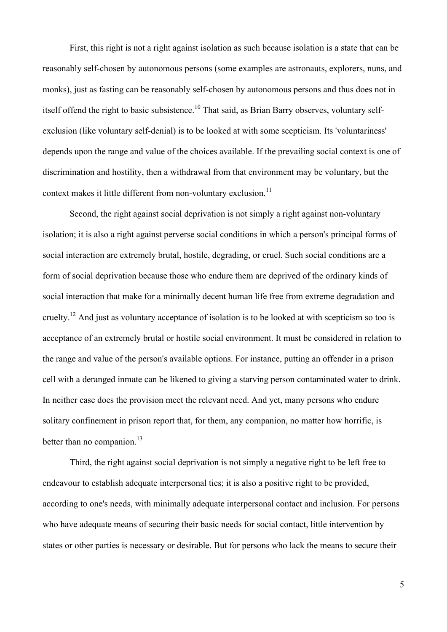First, this right is not a right against isolation as such because isolation is a state that can be reasonably self-chosen by autonomous persons (some examples are astronauts, explorers, nuns, and monks), just as fasting can be reasonably self-chosen by autonomous persons and thus does not in itself offend the right to basic subsistence.<sup>10</sup> That said, as Brian Barry observes, voluntary selfexclusion (like voluntary self-denial) is to be looked at with some scepticism. Its 'voluntariness' depends upon the range and value of the choices available. If the prevailing social context is one of discrimination and hostility, then a withdrawal from that environment may be voluntary, but the context makes it little different from non-voluntary exclusion.<sup>11</sup>

Second, the right against social deprivation is not simply a right against non-voluntary isolation; it is also a right against perverse social conditions in which a person's principal forms of social interaction are extremely brutal, hostile, degrading, or cruel. Such social conditions are a form of social deprivation because those who endure them are deprived of the ordinary kinds of social interaction that make for a minimally decent human life free from extreme degradation and cruelty.<sup>12</sup> And just as voluntary acceptance of isolation is to be looked at with scepticism so too is acceptance of an extremely brutal or hostile social environment. It must be considered in relation to the range and value of the person's available options. For instance, putting an offender in a prison cell with a deranged inmate can be likened to giving a starving person contaminated water to drink. In neither case does the provision meet the relevant need. And yet, many persons who endure solitary confinement in prison report that, for them, any companion, no matter how horrific, is better than no companion. $^{13}$ 

Third, the right against social deprivation is not simply a negative right to be left free to endeavour to establish adequate interpersonal ties; it is also a positive right to be provided, according to one's needs, with minimally adequate interpersonal contact and inclusion. For persons who have adequate means of securing their basic needs for social contact, little intervention by states or other parties is necessary or desirable. But for persons who lack the means to secure their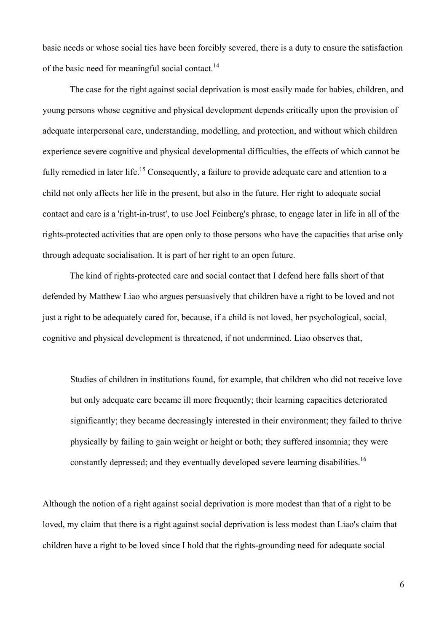basic needs or whose social ties have been forcibly severed, there is a duty to ensure the satisfaction of the basic need for meaningful social contact.<sup>14</sup>

The case for the right against social deprivation is most easily made for babies, children, and young persons whose cognitive and physical development depends critically upon the provision of adequate interpersonal care, understanding, modelling, and protection, and without which children experience severe cognitive and physical developmental difficulties, the effects of which cannot be fully remedied in later life.<sup>15</sup> Consequently, a failure to provide adequate care and attention to a child not only affects her life in the present, but also in the future. Her right to adequate social contact and care is a 'right-in-trust', to use Joel Feinberg's phrase, to engage later in life in all of the rights-protected activities that are open only to those persons who have the capacities that arise only through adequate socialisation. It is part of her right to an open future.

The kind of rights-protected care and social contact that I defend here falls short of that defended by Matthew Liao who argues persuasively that children have a right to be loved and not just a right to be adequately cared for, because, if a child is not loved, her psychological, social, cognitive and physical development is threatened, if not undermined. Liao observes that,

Studies of children in institutions found, for example, that children who did not receive love but only adequate care became ill more frequently; their learning capacities deteriorated significantly; they became decreasingly interested in their environment; they failed to thrive physically by failing to gain weight or height or both; they suffered insomnia; they were constantly depressed; and they eventually developed severe learning disabilities.<sup>16</sup>

Although the notion of a right against social deprivation is more modest than that of a right to be loved, my claim that there is a right against social deprivation is less modest than Liao's claim that children have a right to be loved since I hold that the rights-grounding need for adequate social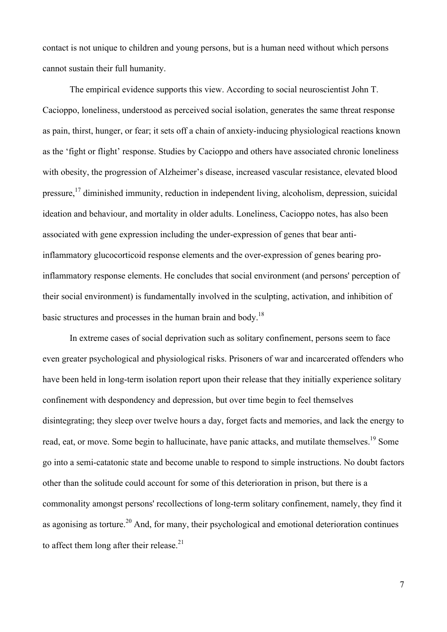contact is not unique to children and young persons, but is a human need without which persons cannot sustain their full humanity.

The empirical evidence supports this view. According to social neuroscientist John T. Cacioppo, loneliness, understood as perceived social isolation, generates the same threat response as pain, thirst, hunger, or fear; it sets off a chain of anxiety-inducing physiological reactions known as the 'fight or flight' response. Studies by Cacioppo and others have associated chronic loneliness with obesity, the progression of Alzheimer's disease, increased vascular resistance, elevated blood pressure,17 diminished immunity, reduction in independent living, alcoholism, depression, suicidal ideation and behaviour, and mortality in older adults. Loneliness, Cacioppo notes, has also been associated with gene expression including the under-expression of genes that bear antiinflammatory glucocorticoid response elements and the over-expression of genes bearing proinflammatory response elements. He concludes that social environment (and persons' perception of their social environment) is fundamentally involved in the sculpting, activation, and inhibition of basic structures and processes in the human brain and body.<sup>18</sup>

In extreme cases of social deprivation such as solitary confinement, persons seem to face even greater psychological and physiological risks. Prisoners of war and incarcerated offenders who have been held in long-term isolation report upon their release that they initially experience solitary confinement with despondency and depression, but over time begin to feel themselves disintegrating; they sleep over twelve hours a day, forget facts and memories, and lack the energy to read, eat, or move. Some begin to hallucinate, have panic attacks, and mutilate themselves.<sup>19</sup> Some go into a semi-catatonic state and become unable to respond to simple instructions. No doubt factors other than the solitude could account for some of this deterioration in prison, but there is a commonality amongst persons' recollections of long-term solitary confinement, namely, they find it as agonising as torture.<sup>20</sup> And, for many, their psychological and emotional deterioration continues to affect them long after their release.<sup>21</sup>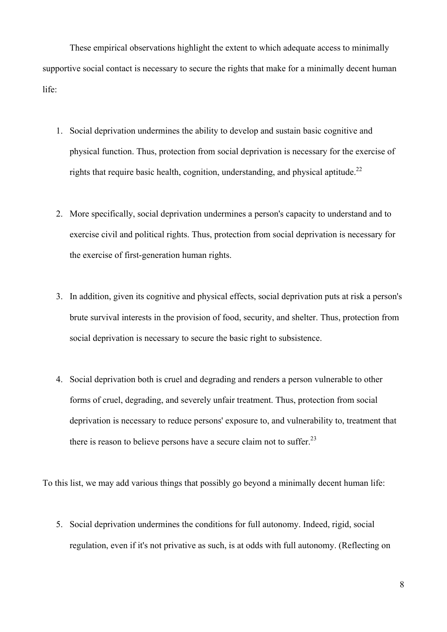These empirical observations highlight the extent to which adequate access to minimally supportive social contact is necessary to secure the rights that make for a minimally decent human life:

- 1. Social deprivation undermines the ability to develop and sustain basic cognitive and physical function. Thus, protection from social deprivation is necessary for the exercise of rights that require basic health, cognition, understanding, and physical aptitude.<sup>22</sup>
- 2. More specifically, social deprivation undermines a person's capacity to understand and to exercise civil and political rights. Thus, protection from social deprivation is necessary for the exercise of first-generation human rights.
- 3. In addition, given its cognitive and physical effects, social deprivation puts at risk a person's brute survival interests in the provision of food, security, and shelter. Thus, protection from social deprivation is necessary to secure the basic right to subsistence.
- 4. Social deprivation both is cruel and degrading and renders a person vulnerable to other forms of cruel, degrading, and severely unfair treatment. Thus, protection from social deprivation is necessary to reduce persons' exposure to, and vulnerability to, treatment that there is reason to believe persons have a secure claim not to suffer.<sup>23</sup>

To this list, we may add various things that possibly go beyond a minimally decent human life:

5. Social deprivation undermines the conditions for full autonomy. Indeed, rigid, social regulation, even if it's not privative as such, is at odds with full autonomy. (Reflecting on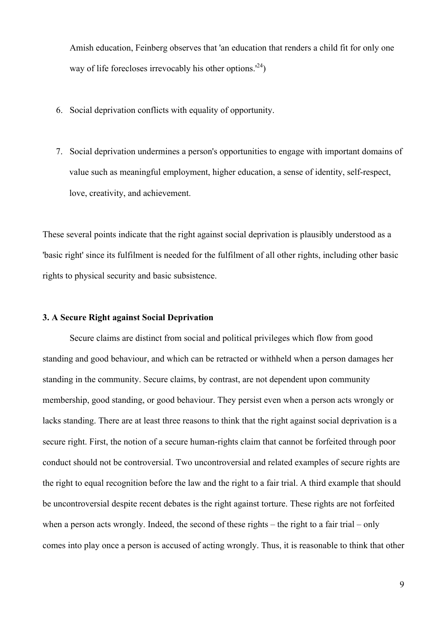Amish education, Feinberg observes that 'an education that renders a child fit for only one way of life forecloses irrevocably his other options.<sup> $(24)$ </sup>

- 6. Social deprivation conflicts with equality of opportunity.
- 7. Social deprivation undermines a person's opportunities to engage with important domains of value such as meaningful employment, higher education, a sense of identity, self-respect, love, creativity, and achievement.

These several points indicate that the right against social deprivation is plausibly understood as a 'basic right' since its fulfilment is needed for the fulfilment of all other rights, including other basic rights to physical security and basic subsistence.

# **3. A Secure Right against Social Deprivation**

Secure claims are distinct from social and political privileges which flow from good standing and good behaviour, and which can be retracted or withheld when a person damages her standing in the community. Secure claims, by contrast, are not dependent upon community membership, good standing, or good behaviour. They persist even when a person acts wrongly or lacks standing. There are at least three reasons to think that the right against social deprivation is a secure right. First, the notion of a secure human-rights claim that cannot be forfeited through poor conduct should not be controversial. Two uncontroversial and related examples of secure rights are the right to equal recognition before the law and the right to a fair trial. A third example that should be uncontroversial despite recent debates is the right against torture. These rights are not forfeited when a person acts wrongly. Indeed, the second of these rights – the right to a fair trial – only comes into play once a person is accused of acting wrongly. Thus, it is reasonable to think that other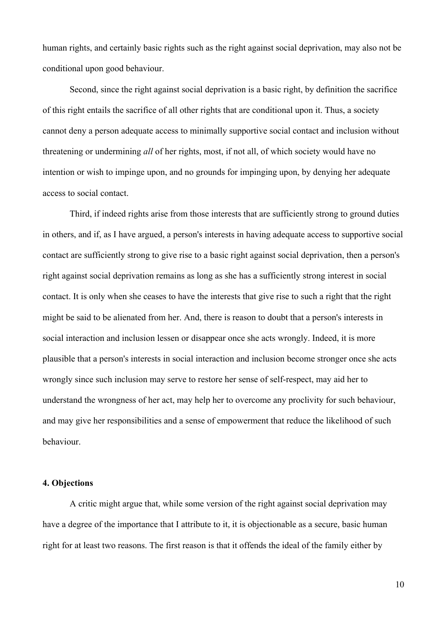human rights, and certainly basic rights such as the right against social deprivation, may also not be conditional upon good behaviour.

Second, since the right against social deprivation is a basic right, by definition the sacrifice of this right entails the sacrifice of all other rights that are conditional upon it. Thus, a society cannot deny a person adequate access to minimally supportive social contact and inclusion without threatening or undermining *all* of her rights, most, if not all, of which society would have no intention or wish to impinge upon, and no grounds for impinging upon, by denying her adequate access to social contact.

Third, if indeed rights arise from those interests that are sufficiently strong to ground duties in others, and if, as I have argued, a person's interests in having adequate access to supportive social contact are sufficiently strong to give rise to a basic right against social deprivation, then a person's right against social deprivation remains as long as she has a sufficiently strong interest in social contact. It is only when she ceases to have the interests that give rise to such a right that the right might be said to be alienated from her. And, there is reason to doubt that a person's interests in social interaction and inclusion lessen or disappear once she acts wrongly. Indeed, it is more plausible that a person's interests in social interaction and inclusion become stronger once she acts wrongly since such inclusion may serve to restore her sense of self-respect, may aid her to understand the wrongness of her act, may help her to overcome any proclivity for such behaviour, and may give her responsibilities and a sense of empowerment that reduce the likelihood of such behaviour.

# **4. Objections**

A critic might argue that, while some version of the right against social deprivation may have a degree of the importance that I attribute to it, it is objectionable as a secure, basic human right for at least two reasons. The first reason is that it offends the ideal of the family either by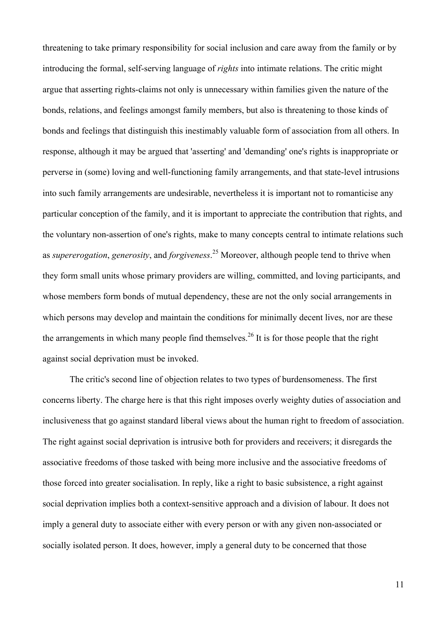threatening to take primary responsibility for social inclusion and care away from the family or by introducing the formal, self-serving language of *rights* into intimate relations. The critic might argue that asserting rights-claims not only is unnecessary within families given the nature of the bonds, relations, and feelings amongst family members, but also is threatening to those kinds of bonds and feelings that distinguish this inestimably valuable form of association from all others. In response, although it may be argued that 'asserting' and 'demanding' one's rights is inappropriate or perverse in (some) loving and well-functioning family arrangements, and that state-level intrusions into such family arrangements are undesirable, nevertheless it is important not to romanticise any particular conception of the family, and it is important to appreciate the contribution that rights, and the voluntary non-assertion of one's rights, make to many concepts central to intimate relations such as *supererogation*, *generosity*, and *forgiveness*. 25 Moreover, although people tend to thrive when they form small units whose primary providers are willing, committed, and loving participants, and whose members form bonds of mutual dependency, these are not the only social arrangements in which persons may develop and maintain the conditions for minimally decent lives, nor are these the arrangements in which many people find themselves.<sup>26</sup> It is for those people that the right against social deprivation must be invoked.

The critic's second line of objection relates to two types of burdensomeness. The first concerns liberty. The charge here is that this right imposes overly weighty duties of association and inclusiveness that go against standard liberal views about the human right to freedom of association. The right against social deprivation is intrusive both for providers and receivers; it disregards the associative freedoms of those tasked with being more inclusive and the associative freedoms of those forced into greater socialisation. In reply, like a right to basic subsistence, a right against social deprivation implies both a context-sensitive approach and a division of labour. It does not imply a general duty to associate either with every person or with any given non-associated or socially isolated person. It does, however, imply a general duty to be concerned that those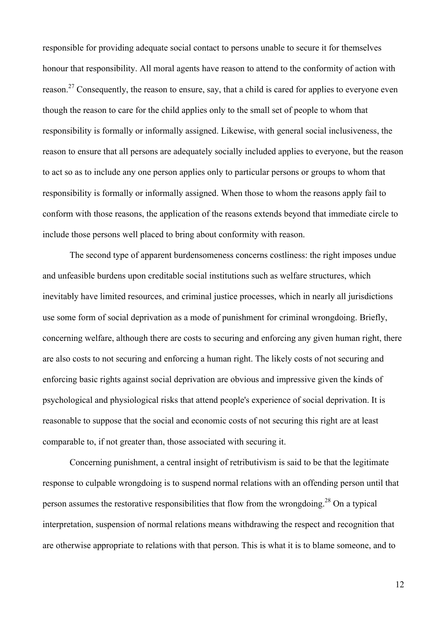responsible for providing adequate social contact to persons unable to secure it for themselves honour that responsibility. All moral agents have reason to attend to the conformity of action with reason.<sup>27</sup> Consequently, the reason to ensure, say, that a child is cared for applies to everyone even though the reason to care for the child applies only to the small set of people to whom that responsibility is formally or informally assigned. Likewise, with general social inclusiveness, the reason to ensure that all persons are adequately socially included applies to everyone, but the reason to act so as to include any one person applies only to particular persons or groups to whom that responsibility is formally or informally assigned. When those to whom the reasons apply fail to conform with those reasons, the application of the reasons extends beyond that immediate circle to include those persons well placed to bring about conformity with reason.

The second type of apparent burdensomeness concerns costliness: the right imposes undue and unfeasible burdens upon creditable social institutions such as welfare structures, which inevitably have limited resources, and criminal justice processes, which in nearly all jurisdictions use some form of social deprivation as a mode of punishment for criminal wrongdoing. Briefly, concerning welfare, although there are costs to securing and enforcing any given human right, there are also costs to not securing and enforcing a human right. The likely costs of not securing and enforcing basic rights against social deprivation are obvious and impressive given the kinds of psychological and physiological risks that attend people's experience of social deprivation. It is reasonable to suppose that the social and economic costs of not securing this right are at least comparable to, if not greater than, those associated with securing it.

Concerning punishment, a central insight of retributivism is said to be that the legitimate response to culpable wrongdoing is to suspend normal relations with an offending person until that person assumes the restorative responsibilities that flow from the wrongdoing.<sup>28</sup> On a typical interpretation, suspension of normal relations means withdrawing the respect and recognition that are otherwise appropriate to relations with that person. This is what it is to blame someone, and to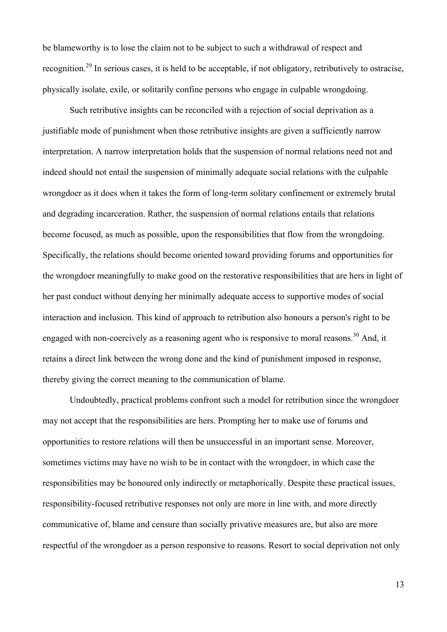be blameworthy is to lose the claim not to be subject to such a withdrawal of respect and recognition.29 In serious cases, it is held to be acceptable, if not obligatory, retributively to ostracise, physically isolate, exile, or solitarily confine persons who engage in culpable wrongdoing.

Such retributive insights can be reconciled with a rejection of social deprivation as a justifiable mode of punishment when those retributive insights are given a sufficiently narrow interpretation. A narrow interpretation holds that the suspension of normal relations need not and indeed should not entail the suspension of minimally adequate social relations with the culpable wrongdoer as it does when it takes the form of long-term solitary confinement or extremely brutal and degrading incarceration. Rather, the suspension of normal relations entails that relations become focused, as much as possible, upon the responsibilities that flow from the wrongdoing. Specifically, the relations should become oriented toward providing forums and opportunities for the wrongdoer meaningfully to make good on the restorative responsibilities that are hers in light of her past conduct without denying her minimally adequate access to supportive modes of social interaction and inclusion. This kind of approach to retribution also honours a person's right to be engaged with non-coercively as a reasoning agent who is responsive to moral reasons.<sup>30</sup> And, it retains a direct link between the wrong done and the kind of punishment imposed in response, thereby giving the correct meaning to the communication of blame.

Undoubtedly, practical problems confront such a model for retribution since the wrongdoer may not accept that the responsibilities are hers. Prompting her to make use of forums and opportunities to restore relations will then be unsuccessful in an important sense. Moreover, sometimes victims may have no wish to be in contact with the wrongdoer, in which case the responsibilities may be honoured only indirectly or metaphorically. Despite these practical issues, responsibility-focused retributive responses not only are more in line with, and more directly communicative of, blame and censure than socially privative measures are, but also are more respectful of the wrongdoer as a person responsive to reasons. Resort to social deprivation not only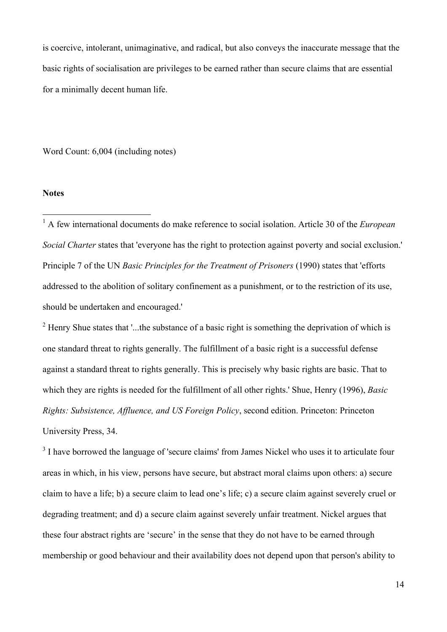is coercive, intolerant, unimaginative, and radical, but also conveys the inaccurate message that the basic rights of socialisation are privileges to be earned rather than secure claims that are essential for a minimally decent human life.

Word Count: 6,004 (including notes)

#### **Notes**

 1 A few international documents do make reference to social isolation. Article 30 of the *European Social Charter* states that 'everyone has the right to protection against poverty and social exclusion.' Principle 7 of the UN *Basic Principles for the Treatment of Prisoners* (1990) states that 'efforts addressed to the abolition of solitary confinement as a punishment, or to the restriction of its use, should be undertaken and encouraged.'

 $2$  Henry Shue states that '...the substance of a basic right is something the deprivation of which is one standard threat to rights generally. The fulfillment of a basic right is a successful defense against a standard threat to rights generally. This is precisely why basic rights are basic. That to which they are rights is needed for the fulfillment of all other rights.' Shue, Henry (1996), *Basic Rights: Subsistence, Affluence, and US Foreign Policy*, second edition. Princeton: Princeton University Press, 34.

 $3$  I have borrowed the language of 'secure claims' from James Nickel who uses it to articulate four areas in which, in his view, persons have secure, but abstract moral claims upon others: a) secure claim to have a life; b) a secure claim to lead one's life; c) a secure claim against severely cruel or degrading treatment; and d) a secure claim against severely unfair treatment. Nickel argues that these four abstract rights are 'secure' in the sense that they do not have to be earned through membership or good behaviour and their availability does not depend upon that person's ability to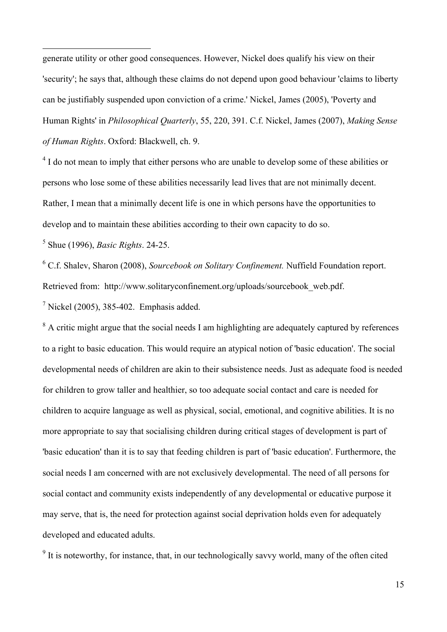generate utility or other good consequences. However, Nickel does qualify his view on their 'security'; he says that, although these claims do not depend upon good behaviour 'claims to liberty can be justifiably suspended upon conviction of a crime.' Nickel, James (2005), 'Poverty and Human Rights' in *Philosophical Quarterly*, 55, 220, 391. C.f. Nickel, James (2007), *Making Sense of Human Rights*. Oxford: Blackwell, ch. 9.

<sup>4</sup> I do not mean to imply that either persons who are unable to develop some of these abilities or persons who lose some of these abilities necessarily lead lives that are not minimally decent. Rather, I mean that a minimally decent life is one in which persons have the opportunities to develop and to maintain these abilities according to their own capacity to do so.

5 Shue (1996), *Basic Rights*. 24-25.

 $\overline{a}$ 

<sup>6</sup> C.f. Shalev, Sharon (2008), *Sourcebook on Solitary Confinement.* Nuffield Foundation report. Retrieved from: http://www.solitaryconfinement.org/uploads/sourcebook\_web.pdf.

 $<sup>7</sup>$  Nickel (2005), 385-402. Emphasis added.</sup>

 $8$  A critic might argue that the social needs I am highlighting are adequately captured by references to a right to basic education. This would require an atypical notion of 'basic education'. The social developmental needs of children are akin to their subsistence needs. Just as adequate food is needed for children to grow taller and healthier, so too adequate social contact and care is needed for children to acquire language as well as physical, social, emotional, and cognitive abilities. It is no more appropriate to say that socialising children during critical stages of development is part of 'basic education' than it is to say that feeding children is part of 'basic education'. Furthermore, the social needs I am concerned with are not exclusively developmental. The need of all persons for social contact and community exists independently of any developmental or educative purpose it may serve, that is, the need for protection against social deprivation holds even for adequately developed and educated adults.

 $9$  It is noteworthy, for instance, that, in our technologically savvy world, many of the often cited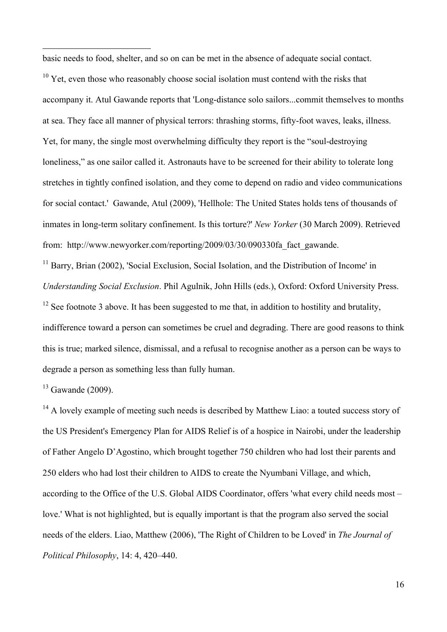basic needs to food, shelter, and so on can be met in the absence of adequate social contact.

 $10$  Yet, even those who reasonably choose social isolation must contend with the risks that accompany it. Atul Gawande reports that 'Long-distance solo sailors...commit themselves to months at sea. They face all manner of physical terrors: thrashing storms, fifty-foot waves, leaks, illness. Yet, for many, the single most overwhelming difficulty they report is the "soul-destroying loneliness," as one sailor called it. Astronauts have to be screened for their ability to tolerate long stretches in tightly confined isolation, and they come to depend on radio and video communications for social contact.' Gawande, Atul (2009), 'Hellhole: The United States holds tens of thousands of inmates in long-term solitary confinement. Is this torture?' *New Yorker* (30 March 2009). Retrieved from: http://www.newyorker.com/reporting/2009/03/30/090330fa\_fact\_gawande.

<sup>11</sup> Barry, Brian (2002), 'Social Exclusion, Social Isolation, and the Distribution of Income' in *Understanding Social Exclusion*. Phil Agulnik, John Hills (eds.), Oxford: Oxford University Press.

 $12$  See footnote 3 above. It has been suggested to me that, in addition to hostility and brutality, indifference toward a person can sometimes be cruel and degrading. There are good reasons to think this is true; marked silence, dismissal, and a refusal to recognise another as a person can be ways to degrade a person as something less than fully human.

 $13$  Gawande (2009).

 $\overline{a}$ 

 $14$  A lovely example of meeting such needs is described by Matthew Liao: a touted success story of the US President's Emergency Plan for AIDS Relief is of a hospice in Nairobi, under the leadership of Father Angelo D'Agostino, which brought together 750 children who had lost their parents and 250 elders who had lost their children to AIDS to create the Nyumbani Village, and which, according to the Office of the U.S. Global AIDS Coordinator, offers 'what every child needs most – love.' What is not highlighted, but is equally important is that the program also served the social needs of the elders. Liao, Matthew (2006), 'The Right of Children to be Loved' in *The Journal of Political Philosophy*, 14: 4, 420–440.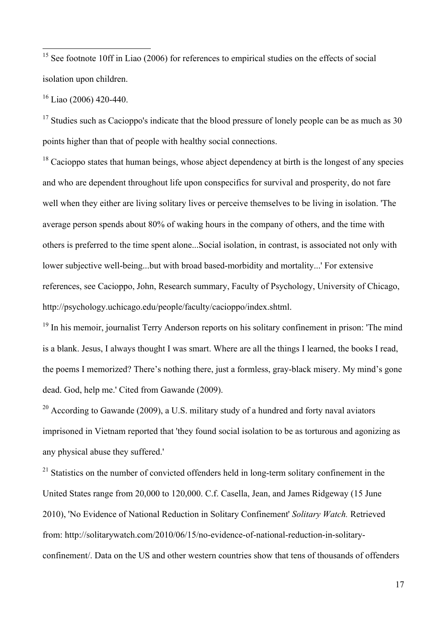<sup>15</sup> See footnote 10ff in Liao (2006) for references to empirical studies on the effects of social isolation upon children.

16 Liao (2006) 420-440.

<sup>17</sup> Studies such as Cacioppo's indicate that the blood pressure of lonely people can be as much as 30 points higher than that of people with healthy social connections.

 $18$  Cacioppo states that human beings, whose abject dependency at birth is the longest of any species and who are dependent throughout life upon conspecifics for survival and prosperity, do not fare well when they either are living solitary lives or perceive themselves to be living in isolation. 'The average person spends about 80% of waking hours in the company of others, and the time with others is preferred to the time spent alone...Social isolation, in contrast, is associated not only with lower subjective well-being...but with broad based-morbidity and mortality...' For extensive references, see Cacioppo, John, Research summary, Faculty of Psychology, University of Chicago, http://psychology.uchicago.edu/people/faculty/cacioppo/index.shtml.

<sup>19</sup> In his memoir, journalist Terry Anderson reports on his solitary confinement in prison: 'The mind is a blank. Jesus, I always thought I was smart. Where are all the things I learned, the books I read, the poems I memorized? There's nothing there, just a formless, gray-black misery. My mind's gone dead. God, help me.' Cited from Gawande (2009).

 $20$  According to Gawande (2009), a U.S. military study of a hundred and forty naval aviators imprisoned in Vietnam reported that 'they found social isolation to be as torturous and agonizing as any physical abuse they suffered.'

 $21$  Statistics on the number of convicted offenders held in long-term solitary confinement in the United States range from 20,000 to 120,000. C.f. Casella, Jean, and James Ridgeway (15 June 2010), 'No Evidence of National Reduction in Solitary Confinement' *Solitary Watch.* Retrieved from: http://solitarywatch.com/2010/06/15/no-evidence-of-national-reduction-in-solitaryconfinement/. Data on the US and other western countries show that tens of thousands of offenders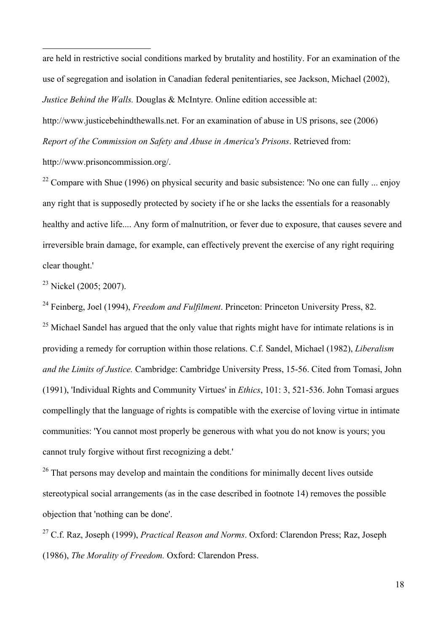are held in restrictive social conditions marked by brutality and hostility. For an examination of the use of segregation and isolation in Canadian federal penitentiaries, see Jackson, Michael (2002), *Justice Behind the Walls.* Douglas & McIntyre. Online edition accessible at: http://www.justicebehindthewalls.net. For an examination of abuse in US prisons, see (2006) *Report of the Commission on Safety and Abuse in America's Prisons*. Retrieved from:

http://www.prisoncommission.org/.

 $\overline{a}$ 

<sup>22</sup> Compare with Shue (1996) on physical security and basic subsistence: 'No one can fully ... enjoy any right that is supposedly protected by society if he or she lacks the essentials for a reasonably healthy and active life.... Any form of malnutrition, or fever due to exposure, that causes severe and irreversible brain damage, for example, can effectively prevent the exercise of any right requiring clear thought.'

 $^{23}$  Nickel (2005; 2007).

24 Feinberg, Joel (1994), *Freedom and Fulfilment*. Princeton: Princeton University Press, 82. <sup>25</sup> Michael Sandel has argued that the only value that rights might have for intimate relations is in providing a remedy for corruption within those relations. C.f. Sandel, Michael (1982), *Liberalism and the Limits of Justice.* Cambridge: Cambridge University Press, 15-56. Cited from Tomasi, John (1991), 'Individual Rights and Community Virtues' in *Ethics*, 101: 3, 521-536. John Tomasi argues compellingly that the language of rights is compatible with the exercise of loving virtue in intimate communities: 'You cannot most properly be generous with what you do not know is yours; you cannot truly forgive without first recognizing a debt.'

 $26$  That persons may develop and maintain the conditions for minimally decent lives outside stereotypical social arrangements (as in the case described in footnote 14) removes the possible objection that 'nothing can be done'.

27 C.f. Raz, Joseph (1999), *Practical Reason and Norms*. Oxford: Clarendon Press; Raz, Joseph (1986), *The Morality of Freedom.* Oxford: Clarendon Press.